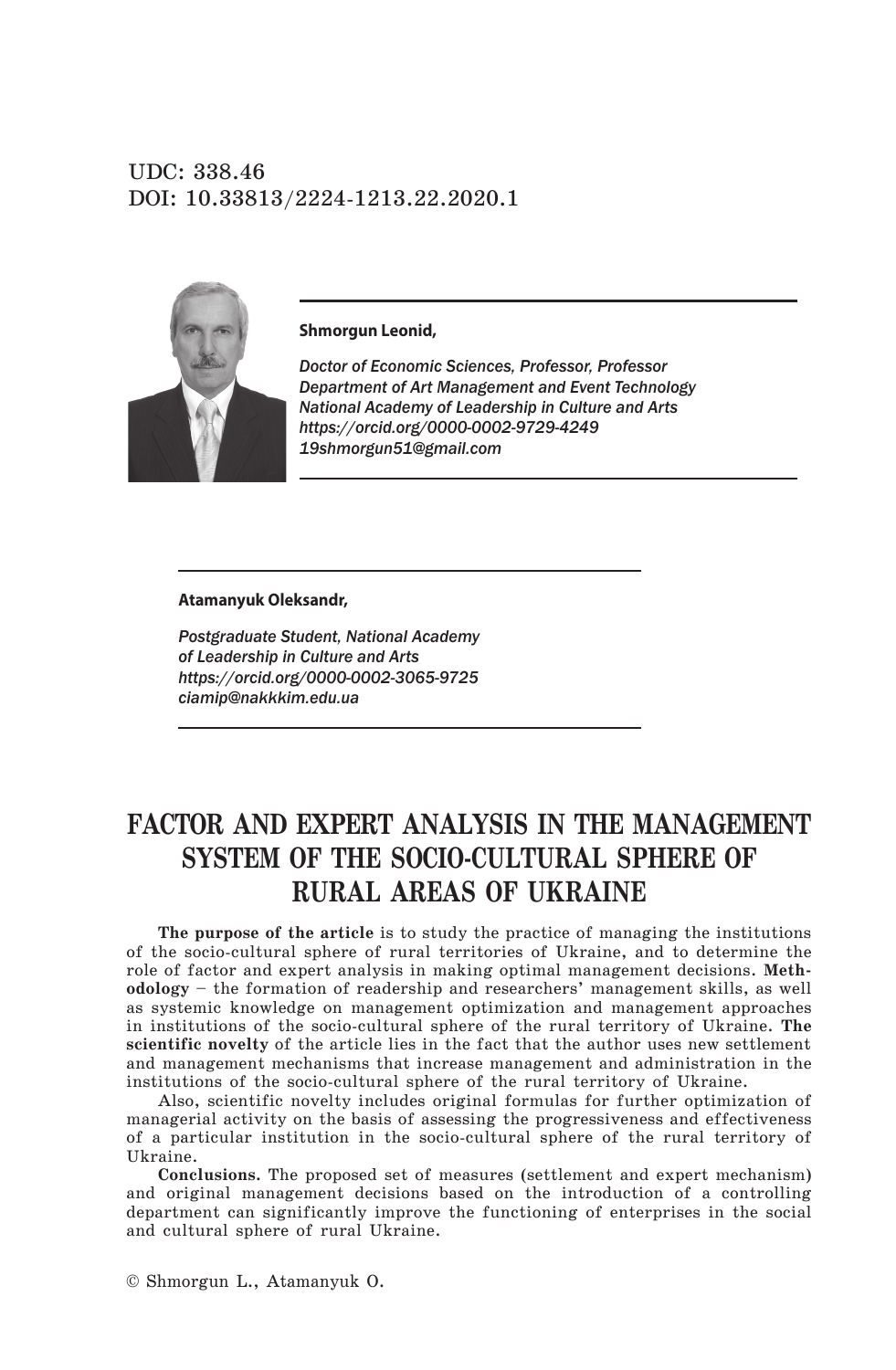UDC: 338.46 DOI: 10.33813/2224-1213.22.2020.1



**Shmorgun Leonid,** 

*Doctor of Economic Sciences, Professor, Professor Department of Art Management and Event Technology National Academy of Leadership in Culture and Arts https://orcid.org/0000-0002-9729-4249 19shmorgun51@gmail.com* 

#### **Atamanyuk Oleksandr,**

*Postgraduate Student, National Academy of Leadership in Culture and Arts https://orcid.org/0000-0002-3065-9725 ciamip@nakkkim.edu.ua*

# **Factor and expert analysis in the management system of the socio-cultural sphere of rural areas of Ukraine**

**The purpose of the article** is to study the practice of managing the institutions of the socio-cultural sphere of rural territories of Ukraine, and to determine the role of factor and expert analysis in making optimal management decisions. **Methodology** – the formation of readership and researchers' management skills, as well as systemic knowledge on management optimization and management approaches in institutions of the socio-cultural sphere of the rural territory of Ukraine. **The scientific novelty** of the article lies in the fact that the author uses new settlement and management mechanisms that increase management and administration in the institutions of the socio-cultural sphere of the rural territory of Ukraine.

Also, scientific novelty includes original formulas for further optimization of managerial activity on the basis of assessing the progressiveness and effectiveness of a particular institution in the socio-cultural sphere of the rural territory of Ukraine.

**Conclusions.** The proposed set of measures (settlement and expert mechanism) and original management decisions based on the introduction of a controlling department can significantly improve the functioning of enterprises in the social and cultural sphere of rural Ukraine.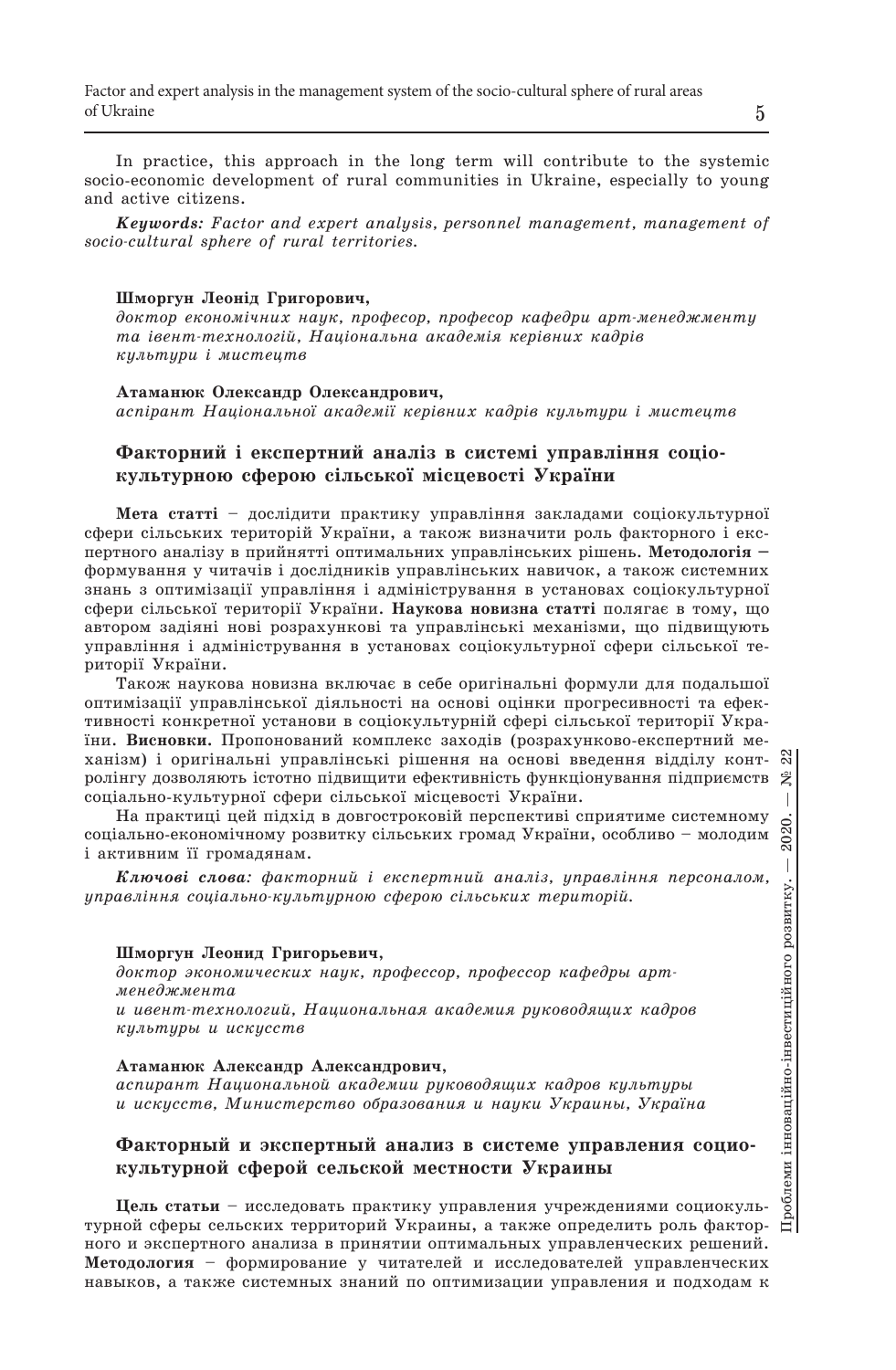In practice, this approach in the long term will contribute to the systemic socio-economic development of rural communities in Ukraine, especially to young and active citizens.

*Keywords: Factor and expert analysis, personnel management, management of socio-cultural sphere of rural territories.*

### **Шморгун Леонід Григорович,**

*доктор економічних наук, професор, професор кафедри арт-менеджменту та івент-технологій, Національна академія керівних кадрів культури і мистецтв*

**Атаманюк Олександр Олександрович,** *аспірант Національної академії керівних кадрів культури і мистецтв*

# **Факторний і експертний аналіз в системі управління соціокультурною сферою сільської місцевості України**

**Мета статті** – дослідити практику управління закладами соціокультурної сфери сільських територій України, а також визначити роль факторного і експертного аналізу в прийнятті оптимальних управлінських рішень. **Методологія –** формування у читачів і дослідників управлінських навичок, а також системних знань з оптимізації управління і адміністрування в установах соціокультурної сфери сільської території України. **Наукова новизна статті** полягає в тому, що автором задіяні нові розрахункові та управлінські механізми, що підвищують управління і адміністрування в установах соціокультурної сфери сільської території України.

Також наукова новизна включає в себе оригінальні формули для подальшої оптимізації управлінської діяльності на основі оцінки прогресивності та ефективності конкретної установи в соціокультурній сфері сільської території України. **Висновки.** Пропонований комплекс заходів (розрахунково-експертний механізм) і оригінальні управлінські рішення на основі введення відділу контролінгу дозволяють істотно підвищити ефективність функціонування підприємств соціально-культурної сфери сільської місцевості України.

На практиці цей підхід в довгостроковій перспективі сприятиме системному соціально-економічному розвитку сільських громад України, особливо – молодим і активним її громадянам.

*Ключові слова: факторний і експертний аналіз, управління персоналом, управління соціально-культурною сферою сільських територій.*

#### **Шморгун Леонид Григорьевич**,

*доктор экономических наук, профессор, профессор кафедры артменеджмента* 

*и ивент-технологий, Национальная академия руководящих кадров культуры и искусств*

#### **Атаманюк Александр Александрович**,

*аспирант Национальной академии руководящих кадров культуры и искусств, Министерство образования и науки Украины, Україна*

## **Факторный и экспертный анализ в системе управления социокультурной сферой сельской местности Украины**

**Цель статьи** – исследовать практику управления учреждениями социокультурной сферы сельских территорий Украины, а также определить роль факторного и экспертного анализа в принятии оптимальных управленческих решений. **Методология** – формирование у читателей и исследователей управленческих навыков, а также системных знаний по оптимизации управления и подходам к

Проблеми інноваційно-інвестиційного розвитку. — 2020. — № 22

Проблеми інноваційно-інвестиційного розвитку.

2020.  $\begin{array}{c} \hline \end{array}$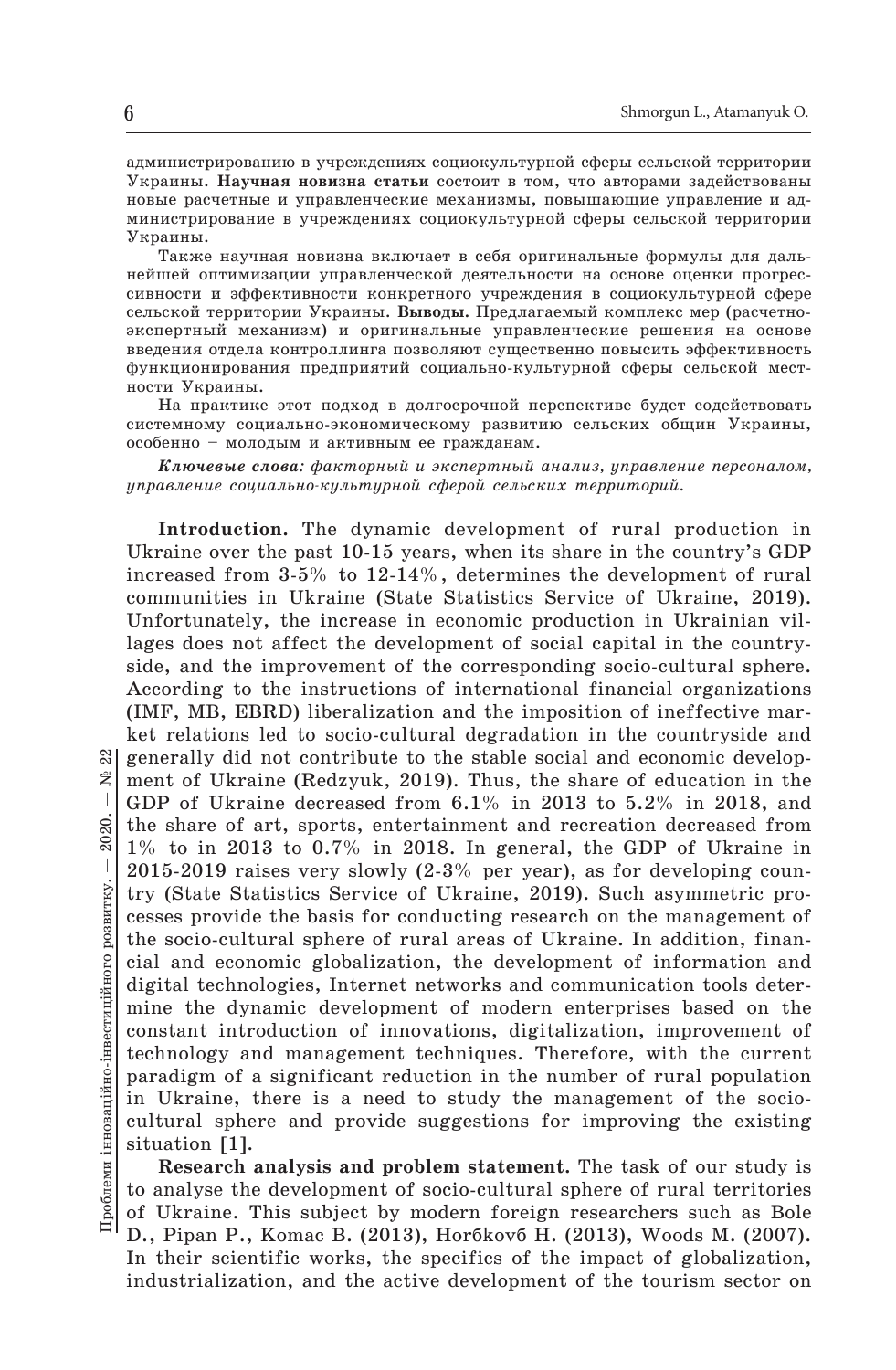администрированию в учреждениях социокультурной сферы сельской территории Украины. **Научная новизна статьи** состоит в том, что авторами задействованы новые расчетные и управленческие механизмы, повышающие управление и администрирование в учреждениях социокультурной сферы сельской территории Украины.

Также научная новизна включает в себя оригинальные формулы для дальнейшей оптимизации управленческой деятельности на основе оценки прогрессивности и эффективности конкретного учреждения в социокультурной сфере сельской территории Украины. **Выводы.** Предлагаемый комплекс мер (расчетноэкспертный механизм) и оригинальные управленческие решения на основе введения отдела контроллинга позволяют существенно повысить эффективность функционирования предприятий социально-культурной сферы сельской местности Украины.

На практике этот подход в долгосрочной перспективе будет содействовать системному социально-экономическому развитию сельских общин Украины, особенно – молодым и активным ее гражданам.

*Ключевые слова: факторный и экспертный анализ, управление персоналом, управление социально-культурной сферой сельских территорий.*

**Introduction.** The dynamic development of rural production in Ukraine over the past 10-15 years, when its share in the country's GDP increased from 3-5% to 12-14%, determines the development of rural communities in Ukraine (State Statistics Service of Ukraine, 2019). Unfortunately, the increase in economic production in Ukrainian villages does not affect the development of social capital in the countryside, and the improvement of the corresponding socio-cultural sphere. According to the instructions of international financial organizations (IMF, MB, EBRD) liberalization and the imposition of ineffective market relations led to socio-cultural degradation in the countryside and generally did not contribute to the stable social and economic development of Ukraine (Redzyuk, 2019). Thus, the share of education in the GDP of Ukraine decreased from 6.1% in 2013 to 5.2% in 2018, and the share of art, sports, entertainment and recreation decreased from 1% to in 2013 to 0.7% in 2018. In general, the GDP of Ukraine in 2015-2019 raises very slowly (2-3% per year), as for developing country (State Statistics Service of Ukraine, 2019). Such asymmetric processes provide the basis for conducting research on the management of the socio-cultural sphere of rural areas of Ukraine. In addition, financial and economic globalization, the development of information and digital technologies, Internet networks and communication tools determine the dynamic development of modern enterprises based on the constant introduction of innovations, digitalization, improvement of technology and management techniques. Therefore, with the current paradigm of a significant reduction in the number of rural population in Ukraine, there is a need to study the management of the sociocultural sphere and provide suggestions for improving the existing situation [1].

**Research analysis and problem statement.** The task of our study is to analyse the development of socio-cultural sphere of rural territories of Ukraine. This subject by modern foreign researchers such as Bole D., Pipan P., Komac B. (2013), Horáková H. (2013), Woods M. (2007). In their scientific works, the specifics of the impact of globalization, industrialization, and the active development of the tourism sector on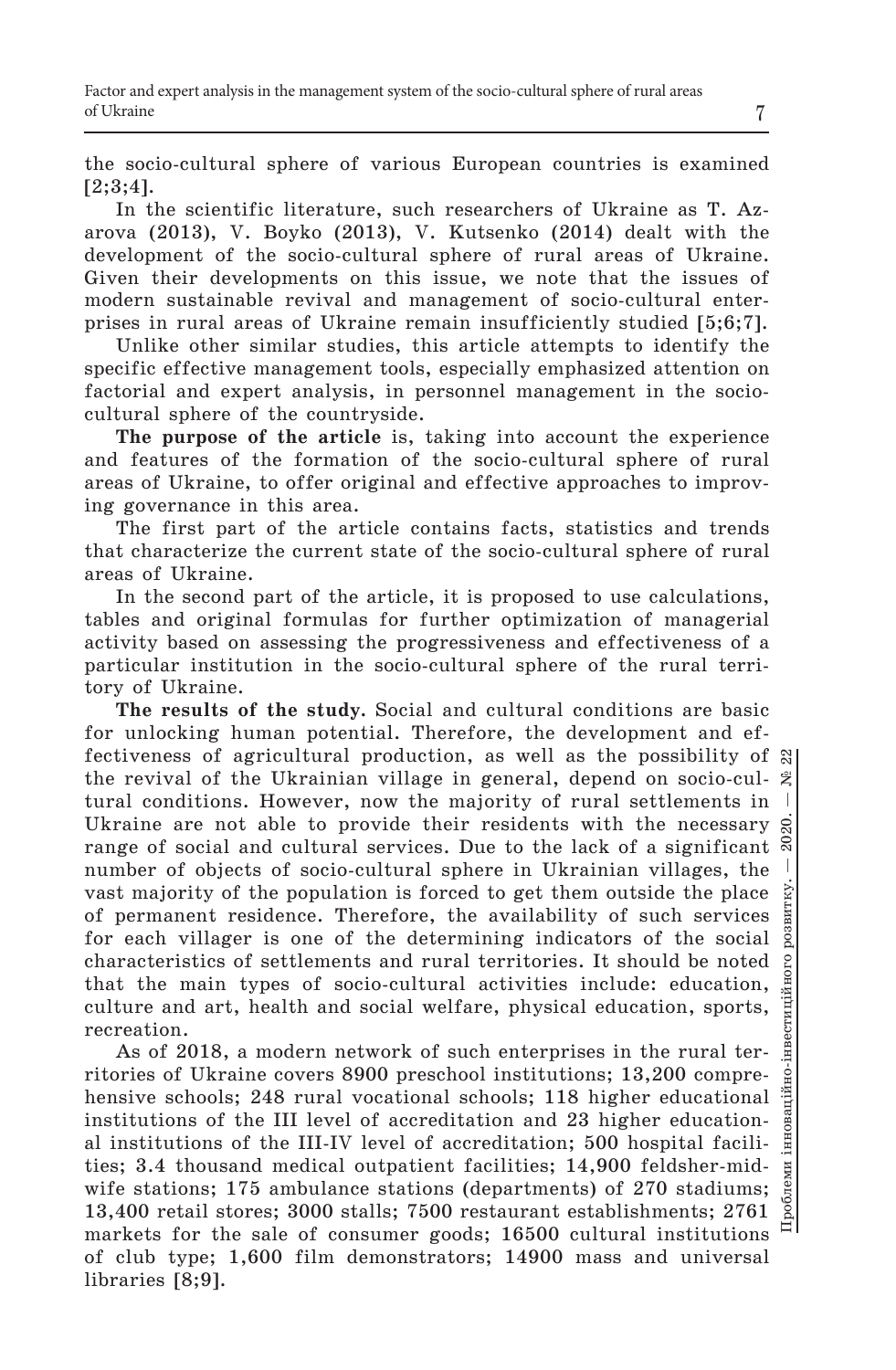the socio-cultural sphere of various European countries is examined  $[2;3;4]$ .

In the scientific literature, such researchers of Ukraine as T. Azarova (2013), V. Boyko (2013), V. Kutsenko (2014) dealt with the development of the socio-cultural sphere of rural areas of Ukraine. Given their developments on this issue, we note that the issues of modern sustainable revival and management of socio-cultural enterprises in rural areas of Ukraine remain insufficiently studied [5;6;7].

Unlike other similar studies, this article attempts to identify the specific effective management tools, especially emphasized attention on factorial and expert analysis, in personnel management in the sociocultural sphere of the countryside.

**The purpose of the article** is, taking into account the experience and features of the formation of the socio-cultural sphere of rural areas of Ukraine, to offer original and effective approaches to improving governance in this area.

The first part of the article contains facts, statistics and trends that characterize the current state of the socio-cultural sphere of rural areas of Ukraine.

In the second part of the article, it is proposed to use calculations, tables and original formulas for further optimization of managerial activity based on assessing the progressiveness and effectiveness of a particular institution in the socio-cultural sphere of the rural territory of Ukraine.

**The results of the study.** Social and cultural conditions are basic for unlocking human potential. Therefore, the development and effectiveness of agricultural production, as well as the possibility of  $\mathbb{S}$ Проблеми інноваційно-інвестиційного розвитку. — 2020. — № 22 the revival of the Ukrainian village in general, depend on socio-cultural conditions. However, now the majority of rural settlements in  $\mathbb{I}$ Ukraine are not able to provide their residents with the necessary  $\hat{S}$ range of social and cultural services. Due to the lack of a significant  $\frac{a}{b}$ number of objects of socio-cultural sphere in Ukrainian villages, the vast majority of the population is forced to get them outside the place of permanent residence. Therefore, the availability of such services for each villager is one of the determining indicators of the social characteristics of settlements and rural territories. It should be noted  $\frac{8}{9}$ that the main types of socio-cultural activities include: education, щ culture and art, health and social welfare, physical education, sports, reation.<br>As of 2018, a modern network of such enterprises in the rural terrecreation.

ritories of Ukraine covers 8900 preschool institutions; 13,200 comprehensive schools; 248 rural vocational schools; 118 higher educational institutions of the III level of accreditation and 23 higher educational institutions of the III-IV level of accreditation; 500 hospital facilities; 3.4 thousand medical outpatient facilities; 14,900 feldsher-midwife stations; 175 ambulance stations (departments) of 270 stadiums; 13,400 retail stores; 3000 stalls; 7500 restaurant establishments; 2761 markets for the sale of consumer goods; 16500 cultural institutions of club type; 1,600 film demonstrators; 14900 mass and universal libraries [8;9].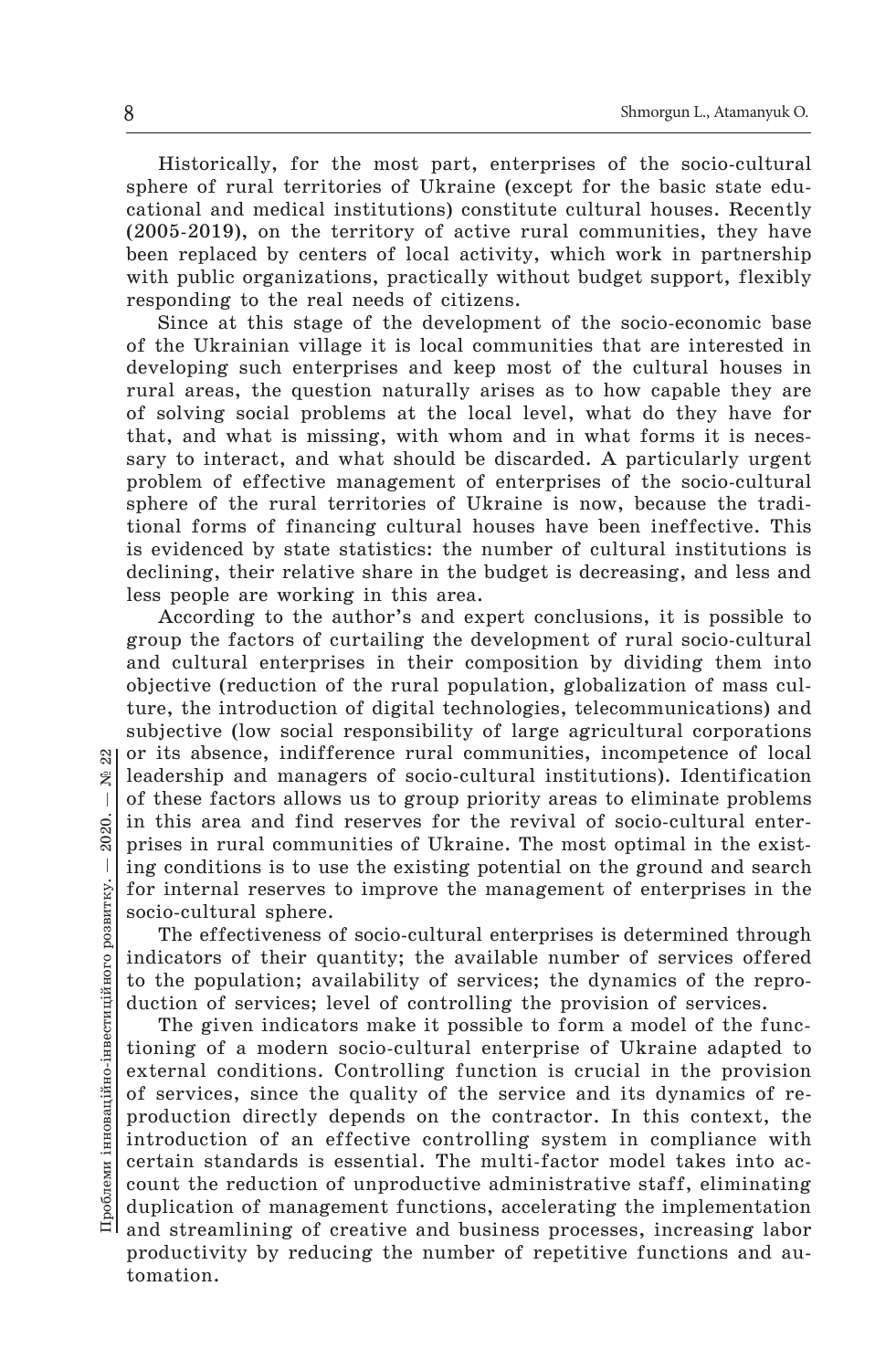Historically, for the most part, enterprises of the socio-cultural sphere of rural territories of Ukraine (except for the basic state educational and medical institutions) constitute cultural houses. Recently (2005-2019), on the territory of active rural communities, they have been replaced by centers of local activity, which work in partnership with public organizations, practically without budget support, flexibly responding to the real needs of citizens.

Since at this stage of the development of the socio-economic base of the Ukrainian village it is local communities that are interested in developing such enterprises and keep most of the cultural houses in rural areas, the question naturally arises as to how capable they are of solving social problems at the local level, what do they have for that, and what is missing, with whom and in what forms it is necessary to interact, and what should be discarded. A particularly urgent problem of effective management of enterprises of the socio-cultural sphere of the rural territories of Ukraine is now, because the traditional forms of financing cultural houses have been ineffective. This is evidenced by state statistics: the number of cultural institutions is declining, their relative share in the budget is decreasing, and less and less people are working in this area.

According to the author's and expert conclusions, it is possible to group the factors of curtailing the development of rural socio-cultural and cultural enterprises in their composition by dividing them into objective (reduction of the rural population, globalization of mass culture, the introduction of digital technologies, telecommunications) and subjective (low social responsibility of large agricultural corporations  $\mathbb{R}$  or its absence, indifference rural communities, incompetence of local leadership and managers of socio-cultural institutions). Identification of these factors allows us to group priority areas to eliminate problems in this area and find reserves for the revival of socio-cultural enterprises in rural communities of Ukraine. The most optimal in the existing conditions is to use the existing potential on the ground and search for internal reserves to improve the management of enterprises in the socio-cultural sphere.

The effectiveness of socio-cultural enterprises is determined through indicators of their quantity; the available number of services offered to the population; availability of services; the dynamics of the reproduction of services; level of controlling the provision of services.

The given indicators make it possible to form a model of the functioning of a modern socio-cultural enterprise of Ukraine adapted to external conditions. Controlling function is crucial in the provision of services, since the quality of the service and its dynamics of reproduction directly depends on the contractor. In this context, the introduction of an effective controlling system in compliance with certain standards is essential. The multi-factor model takes into account the reduction of unproductive administrative staff, eliminating duplication of management functions, accelerating the implementation and streamlining of creative and business processes, increasing labor productivity by reducing the number of repetitive functions and automation.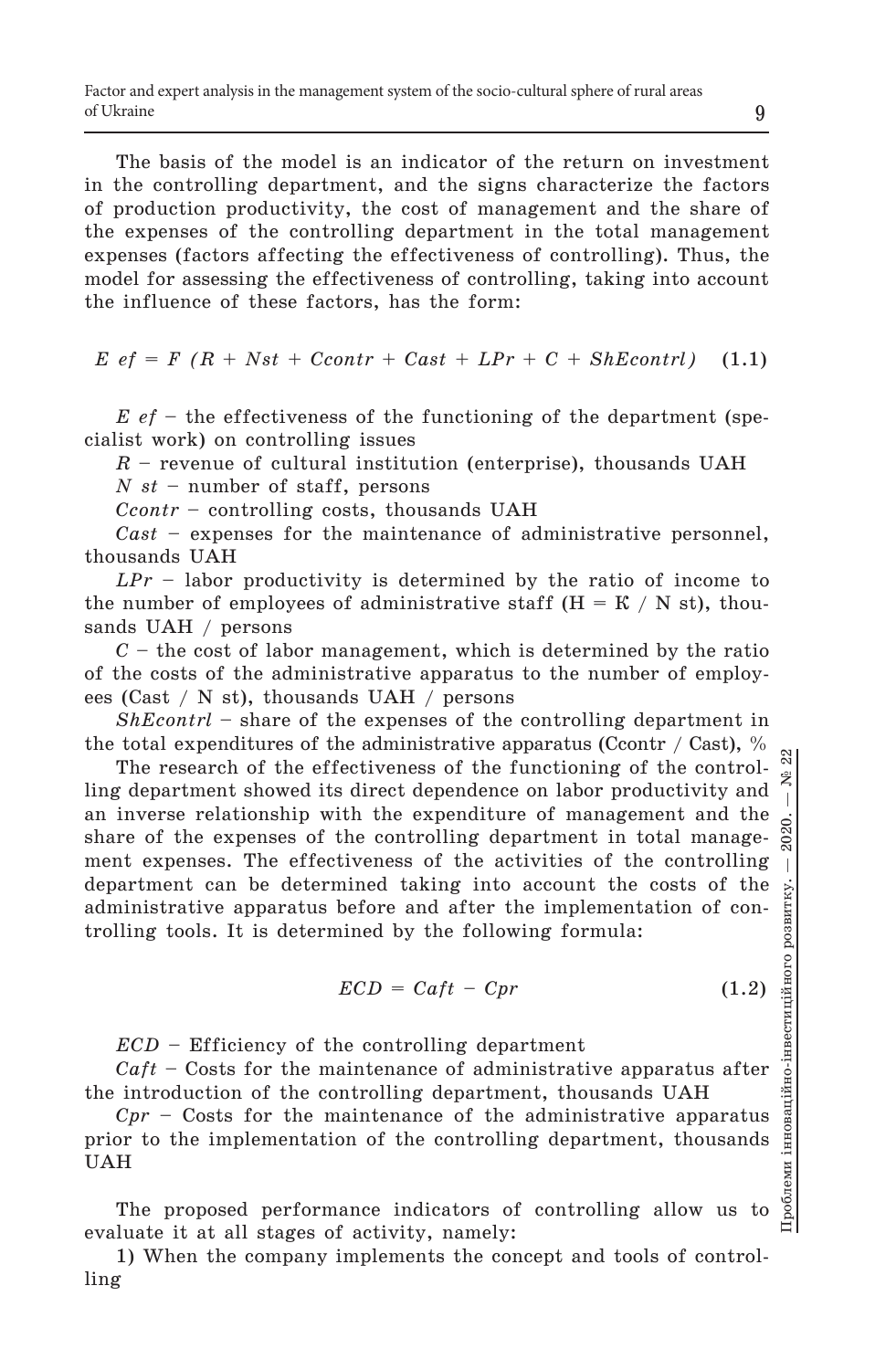The basis of the model is an indicator of the return on investment in the controlling department, and the signs characterize the factors of production productivity, the cost of management and the share of the expenses of the controlling department in the total management expenses (factors affecting the effectiveness of controlling). Thus, the model for assessing the effectiveness of controlling, taking into account the influence of these factors, has the form:

 $E \text{ } e f = F \text{ } (R + Nst + \text{Ccontr} + \text{Cast} + \text{LPr} + C + \text{ShEcontr})$  (1.1)

*E ef* – the effectiveness of the functioning of the department (specialist work) on controlling issues

*R* – revenue of cultural institution (enterprise), thousands UAH

*N st* – number of staff, persons

*Ccontr* – controlling costs, thousands UAH

*Cast* – expenses for the maintenance of administrative personnel, thousands UAH

*LPr* – labor productivity is determined by the ratio of income to the number of employees of administrative staff  $(H = K / N \text{ st})$ , thousands UAH / persons

*C* – the сost of labor management, which is determined by the ratio of the costs of the administrative apparatus to the number of employees (Cast / N st), thousands UAH / persons

*ShEcontrl* – share of the expenses of the controlling department in the total expenditures of the administrative apparatus (Ccontr / Cast),  $\%$ 

The research of the effectiveness of the functioning of the control-ຂຶ ling department showed its direct dependence on labor productivity and an inverse relationship with the expenditure of management and the share of the expenses of the controlling department in total management expenses. The effectiveness of the activities of the controlling  $\dddot{\phantom{a}}$ department can be determined taking into account the costs of the інноваційно-інвестиційного розвитку. administrative apparatus before and after the implementation of controlling tools. It is determined by the following formula:

$$
ECD = Caft - Cpr \tag{1.2}
$$

*ECD* – Efficiency of the controlling department

*Caft* – Costs for the maintenance of administrative apparatus after the introduction of the controlling department, thousands UAH

*Cpr* – Costs for the maintenance of the administrative apparatus prior to the implementation of the controlling department, thousands UAH

The proposed performance indicators of controlling allow us evaluate it at all stages of activity, namely:

1) When the company implements the concept and tools of controlling

Проблеми інноваційно-інвестиційного розвитку. — 2020. — № 22

Проблеми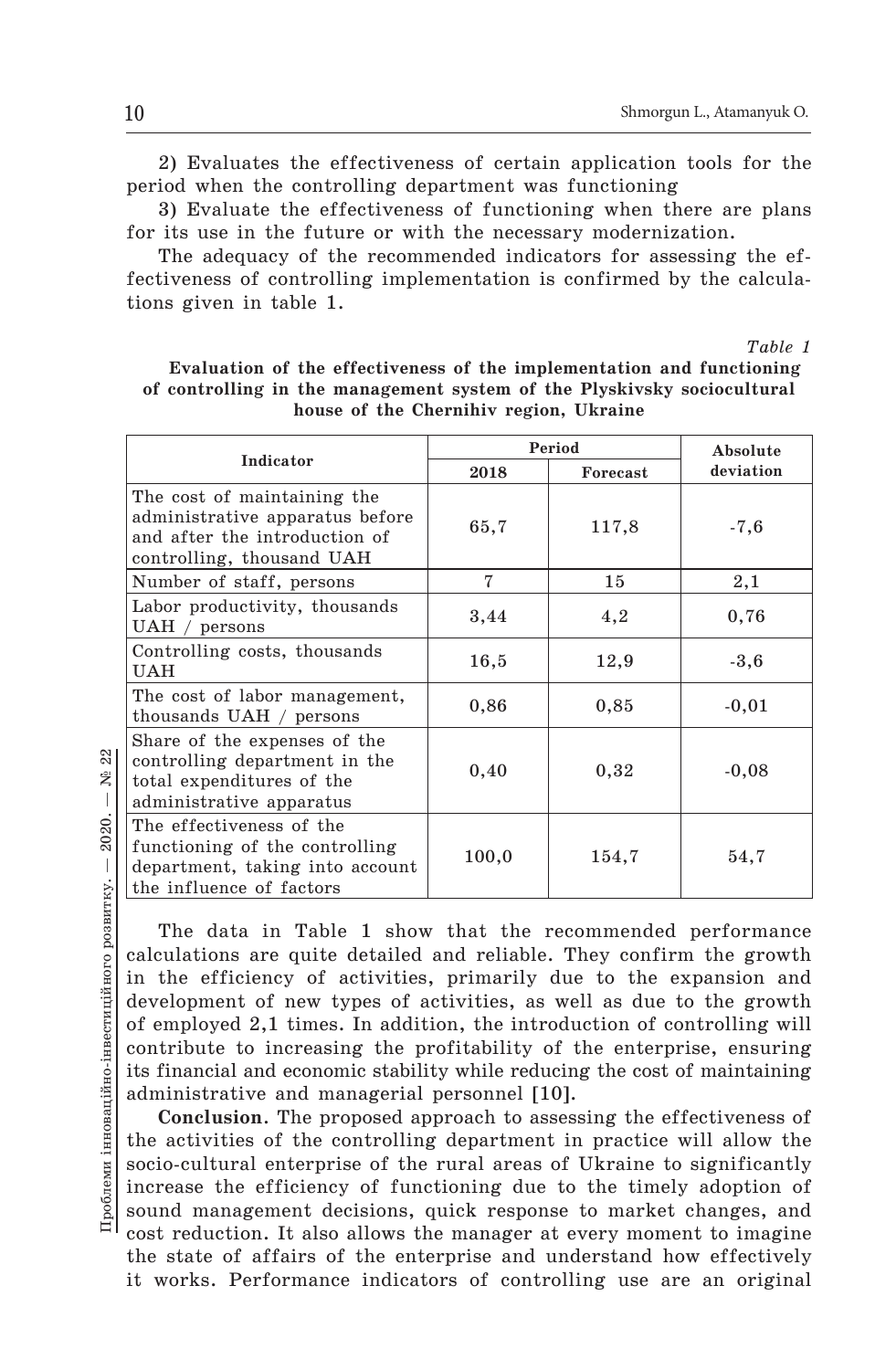2) Evaluates the effectiveness of certain application tools for the period when the controlling department was functioning

3) Evaluate the effectiveness of functioning when there are plans for its use in the future or with the necessary modernization.

The adequacy of the recommended indicators for assessing the effectiveness of controlling implementation is confirmed by the calculations given in table 1.

*Table 1*

| of controlling in the management system of the Plyskivsky sociocultural<br>house of the Chernihiv region, Ukraine |        |                              |           |  |  |
|-------------------------------------------------------------------------------------------------------------------|--------|------------------------------|-----------|--|--|
|                                                                                                                   | Period |                              | Absolute  |  |  |
| Indicator                                                                                                         | 9010   | $\Gamma$ <sub>a</sub> noooot | deviation |  |  |

**Evaluation of the effectiveness of the implementation and functioning** 

| Indicator                                                                                                                    | 2018  | Forecast | deviation |
|------------------------------------------------------------------------------------------------------------------------------|-------|----------|-----------|
| The cost of maintaining the<br>administrative apparatus before<br>and after the introduction of<br>controlling, thousand UAH | 65,7  | 117,8    | $-7,6$    |
| Number of staff, persons                                                                                                     | 7     | 15       | 2,1       |
| Labor productivity, thousands<br>$UAH / \text{ persons}$                                                                     | 3,44  | 4,2      | 0,76      |
| Controlling costs, thousands<br><b>UAH</b>                                                                                   | 16,5  | 12,9     | $-3,6$    |
| The cost of labor management,<br>thousands UAH / persons                                                                     | 0,86  | 0,85     | $-0,01$   |
| Share of the expenses of the<br>controlling department in the<br>total expenditures of the<br>administrative apparatus       | 0,40  | 0,32     | $-0,08$   |
| The effectiveness of the<br>functioning of the controlling<br>department, taking into account<br>the influence of factors    | 100,0 | 154,7    | 54,7      |

22 Проблеми інноваційно-інвестиційного розвитку. — 2020. — № 22  $\tilde{\mathbf{z}}$  $\overline{\phantom{a}}$ 2020. Проблеми інноваційно-інвестиційного розвитку. -

The data in Table 1 show that the recommended performance calculations are quite detailed and reliable. They confirm the growth in the efficiency of activities, primarily due to the expansion and development of new types of activities, as well as due to the growth of employed 2,1 times. In addition, the introduction of controlling will contribute to increasing the profitability of the enterprise, ensuring its financial and economic stability while reducing the cost of maintaining administrative and managerial personnel [10].

**Conclusion**. The proposed approach to assessing the effectiveness of the activities of the controlling department in practice will allow the socio-cultural enterprise of the rural areas of Ukraine to significantly increase the efficiency of functioning due to the timely adoption of sound management decisions, quick response to market changes, and cost reduction. It also allows the manager at every moment to imagine the state of affairs of the enterprise and understand how effectively

it works. Performance indicators of controlling use are an original

 $\sqrt{ }$